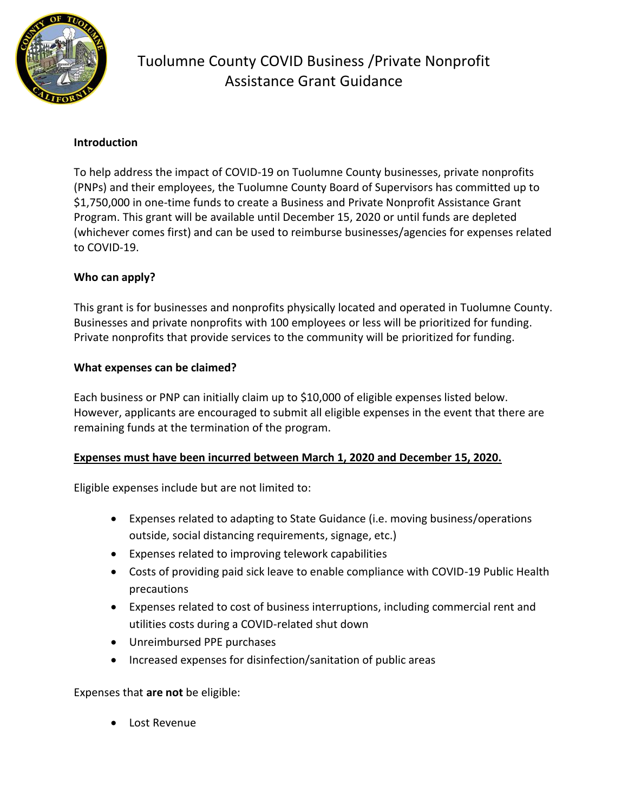

# Tuolumne County COVID Business /Private Nonprofit Assistance Grant Guidance

### **Introduction**

To help address the impact of COVID-19 on Tuolumne County businesses, private nonprofits (PNPs) and their employees, the Tuolumne County Board of Supervisors has committed up to \$1,750,000 in one-time funds to create a Business and Private Nonprofit Assistance Grant Program. This grant will be available until December 15, 2020 or until funds are depleted (whichever comes first) and can be used to reimburse businesses/agencies for expenses related to COVID-19.

## **Who can apply?**

This grant is for businesses and nonprofits physically located and operated in Tuolumne County. Businesses and private nonprofits with 100 employees or less will be prioritized for funding. Private nonprofits that provide services to the community will be prioritized for funding.

### **What expenses can be claimed?**

Each business or PNP can initially claim up to \$10,000 of eligible expenses listed below. However, applicants are encouraged to submit all eligible expenses in the event that there are remaining funds at the termination of the program.

### **Expenses must have been incurred between March 1, 2020 and December 15, 2020.**

Eligible expenses include but are not limited to:

- Expenses related to adapting to State Guidance (i.e. moving business/operations outside, social distancing requirements, signage, etc.)
- Expenses related to improving telework capabilities
- Costs of providing paid sick leave to enable compliance with COVID-19 Public Health precautions
- Expenses related to cost of business interruptions, including commercial rent and utilities costs during a COVID-related shut down
- Unreimbursed PPE purchases
- Increased expenses for disinfection/sanitation of public areas

Expenses that **are not** be eligible:

• Lost Revenue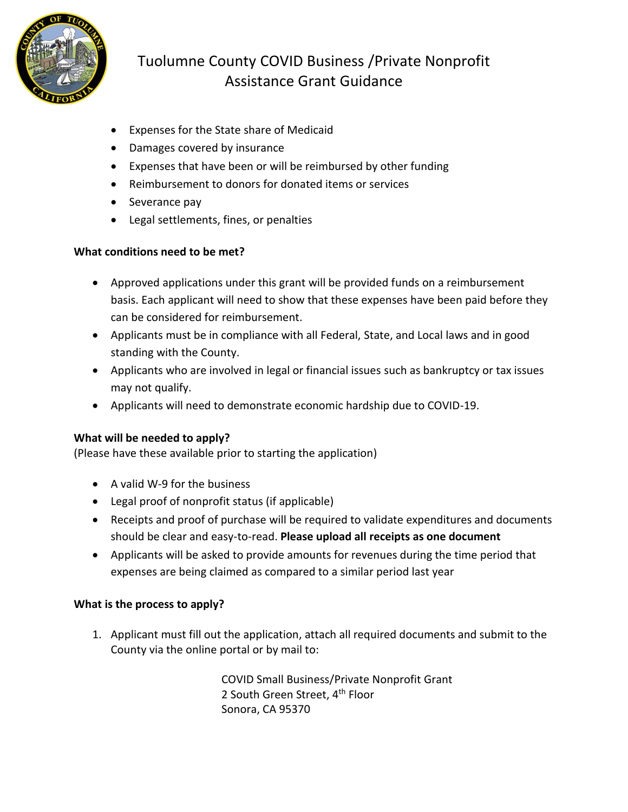

# Tuolumne County COVID Business /Private Nonprofit Assistance Grant Guidance

- Expenses for the State share of Medicaid
- Damages covered by insurance
- Expenses that have been or will be reimbursed by other funding
- Reimbursement to donors for donated items or services
- Severance pay
- Legal settlements, fines, or penalties

### **What conditions need to be met?**

- Approved applications under this grant will be provided funds on a reimbursement basis. Each applicant will need to show that these expenses have been paid before they can be considered for reimbursement.
- Applicants must be in compliance with all Federal, State, and Local laws and in good standing with the County.
- Applicants who are involved in legal or financial issues such as bankruptcy or tax issues may not qualify.
- Applicants will need to demonstrate economic hardship due to COVID-19.

## **What will be needed to apply?**

(Please have these available prior to starting the application)

- A valid W-9 for the business
- Legal proof of nonprofit status (if applicable)
- Receipts and proof of purchase will be required to validate expenditures and documents should be clear and easy-to-read. **Please upload all receipts as one document**
- Applicants will be asked to provide amounts for revenues during the time period that expenses are being claimed as compared to a similar period last year

## **What is the process to apply?**

1. Applicant must fill out the application, attach all required documents and submit to the County via the online portal or by mail to:

> COVID Small Business/Private Nonprofit Grant 2 South Green Street, 4<sup>th</sup> Floor Sonora, CA 95370